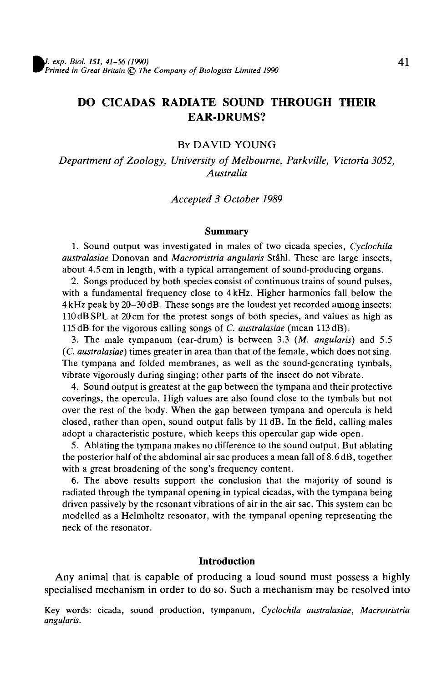# DO CICADAS RADIATE SOUND THROUGH THEIR EAR-DRUMS?

## BY DAVID YOUNG

*Department of Zoology, University of Melbourne, Parkville, Victoria 3052, Australia*

#### *Accepted 3 October 1989*

#### Summary

1. Sound output was investigated in males of two cicada species, *Cyclochila australasiae* Donovan and *Macrotristria angularis* Stahl. These are large insects, about 4.5 cm in length, with a typical arrangement of sound-producing organs.

2. Songs produced by both species consist of continuous trains of sound pulses, with a fundamental frequency close to 4 kHz. Higher harmonics fall below the 4 kHz peak by 20-30 dB. These songs are the loudest yet recorded among insects: 110 dB SPL at 20 cm for the protest songs of both species, and values as high as 115 dB for the vigorous calling songs of *C. australasiae* (mean 113 dB).

3. The male tympanum (ear-drum) is between 3.3 *(M. angularis)* and 5.5 *(C. australasiae)* times greater in area than that of the female, which does not sing. The tympana and folded membranes, as well as the sound-generating tymbals, vibrate vigorously during singing; other parts of the insect do not vibrate.

4. Sound output is greatest at the gap between the tympana and their protective coverings, the opercula. High values are also found close to the tymbals but not over the rest of the body. When the gap between tympana and opercula is held closed, rather than open, sound output falls by 11 dB. In the field, calling males adopt a characteristic posture, which keeps this opercular gap wide open.

5. Ablating the tympana makes no difference to the sound output. But ablating the posterior half of the abdominal air sac produces a mean fall of 8.6 dB, together with a great broadening of the song's frequency content.

6. The above results support the conclusion that the majority of sound is radiated through the tympanal opening in typical cicadas, with the tympana being driven passively by the resonant vibrations of air in the air sac. This system can be modelled as a Helmholtz resonator, with the tympanal opening representing the neck of the resonator.

#### **Introduction**

Any animal that is capable of producing a loud sound must possess a highly specialised mechanism in order to do so. Such a mechanism may be resolved into

Key words: cicada, sound production, tympanum, *Cyclochila australasiae, Macrotristria angularis.*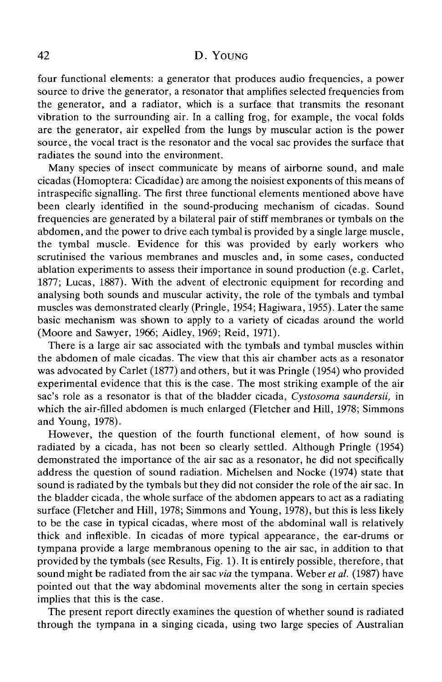four functional elements: a generator that produces audio frequencies, a power source to drive the generator, a resonator that amplifies selected frequencies from the generator, and a radiator, which is a surface that transmits the resonant vibration to the surrounding air. In a calling frog, for example, the vocal folds are the generator, air expelled from the lungs by muscular action is the power source, the vocal tract is the resonator and the vocal sac provides the surface that radiates the sound into the environment.

Many species of insect communicate by means of airborne sound, and male cicadas (Homoptera: Cicadidae) are among the noisiest exponents of this means of intraspecific signalling. The first three functional elements mentioned above have been clearly identified in the sound-producing mechanism of cicadas. Sound frequencies are generated by a bilateral pair of stiff membranes or tymbals on the abdomen, and the power to drive each tymbal is provided by a single large muscle, the tymbal muscle. Evidence for this was provided by early workers who scrutinised the various membranes and muscles and, in some cases, conducted ablation experiments to assess their importance in sound production (e.g. Carlet, 1877; Lucas, 1887). With the advent of electronic equipment for recording and analysing both sounds and muscular activity, the role of the tymbals and tymbal muscles was demonstrated clearly (Pringle, 1954; Hagiwara, 1955). Later the same basic mechanism was shown to apply to a variety of cicadas around the world (Moore and Sawyer, 1966; Aidley, 1969; Reid, 1971).

There is a large air sac associated with the tymbals and tymbal muscles within the abdomen of male cicadas. The view that this air chamber acts as a resonator was advocated by Carlet (1877) and others, but it was Pringle (1954) who provided experimental evidence that this is the case. The most striking example of the air sac's role as a resonator is that of the bladder cicada, *Cystosoma saundersii,* in which the air-filled abdomen is much enlarged (Fletcher and Hill, 1978; Simmons and Young, 1978).

However, the question of the fourth functional element, of how sound is radiated by a cicada, has not been so clearly settled. Although Pringle (1954) demonstrated the importance of the air sac as a resonator, he did not specifically address the question of sound radiation. Michelsen and Nocke (1974) state that sound is radiated by the tymbals but they did not consider the role of the air sac. In the bladder cicada, the whole surface of the abdomen appears to act as a radiating surface (Fletcher and Hill, 1978; Simmons and Young, 1978), but this is less likely to be the case in typical cicadas, where most of the abdominal wall is relatively thick and inflexible. In cicadas of more typical appearance, the ear-drums or tympana provide a large membranous opening to the air sac, in addition to that provided by the tymbals (see Results, Fig. 1). It is entirely possible, therefore, that sound might be radiated from the air sac *via* the tympana. Weber *et al.* (1987) have pointed out that the way abdominal movements alter the song in certain species implies that this is the case.

The present report directly examines the question of whether sound is radiated through the tympana in a singing cicada, using two large species of Australian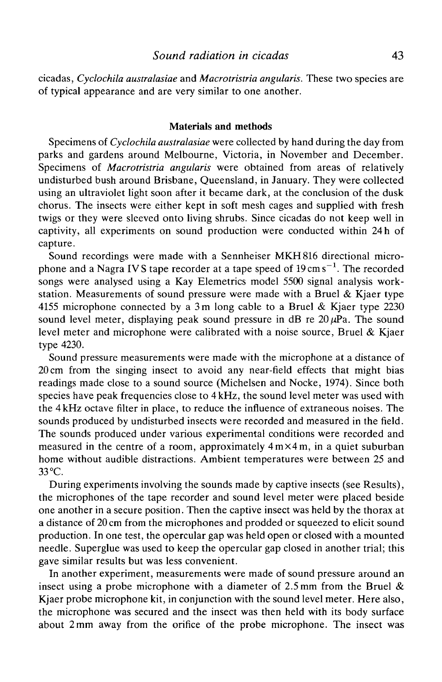cicadas, *Cyclochila australasiae* and *Macrotristria angularis.* These two species are of typical appearance and are very similar to one another.

### **Materials and methods**

Specimens of *Cyclochila australasiae* were collected by hand during the day from parks and gardens around Melbourne, Victoria, in November and December. Specimens of *Macrotristria angularis* were obtained from areas of relatively undisturbed bush around Brisbane, Queensland, in January. They were collected using an ultraviolet light soon after it became dark, at the conclusion of the dusk chorus. The insects were either kept in soft mesh cages and supplied with fresh twigs or they were sleeved onto living shrubs. Since cicadas do not keep well in captivity, all experiments on sound production were conducted within 24 h of capture.

Sound recordings were made with a Sennheiser MKH816 directional microphone and a Nagra IVS tape recorder at a tape speed of 19 cm s $^{-1}$ . The recorded songs were analysed using a Kay Elemetrics model 5500 signal analysis workstation. Measurements of sound pressure were made with a Bruel  $\&$  Kjaer type 4155 microphone connected by a 3m long cable to a Bruel & Kjaer type 2230 sound level meter, displaying peak sound pressure in dB re  $20 \mu Pa$ . The sound level meter and microphone were calibrated with a noise source, Bruel & Kjaer type 4230.

Sound pressure measurements were made with the microphone at a distance of 20 cm from the singing insect to avoid any near-field effects that might bias readings made close to a sound source (Michelsen and Nocke, 1974). Since both species have peak frequencies close to 4 kHz, the sound level meter was used with the 4kHz octave filter in place, to reduce the influence of extraneous noises. The sounds produced by undisturbed insects were recorded and measured in the field. The sounds produced under various experimental conditions were recorded and measured in the centre of a room, approximately  $4 \text{ m} \times 4 \text{ m}$ , in a quiet suburban home without audible distractions. Ambient temperatures were between 25 and 33 °C.

During experiments involving the sounds made by captive insects (see Results), the microphones of the tape recorder and sound level meter were placed beside one another in a secure position. Then the captive insect was held by the thorax at a distance of 20 cm from the microphones and prodded or squeezed to elicit sound production. In one test, the opercular gap was held open or closed with a mounted needle. Superglue was used to keep the opercular gap closed in another trial; this gave similar results but was less convenient.

In another experiment, measurements were made of sound pressure around an insect using a probe microphone with a diameter of  $2.5 \text{ mm}$  from the Bruel  $\&$ Kjaer probe microphone kit, in conjunction with the sound level meter. Here also, the microphone was secured and the insect was then held with its body surface about 2mm away from the orifice of the probe microphone. The insect was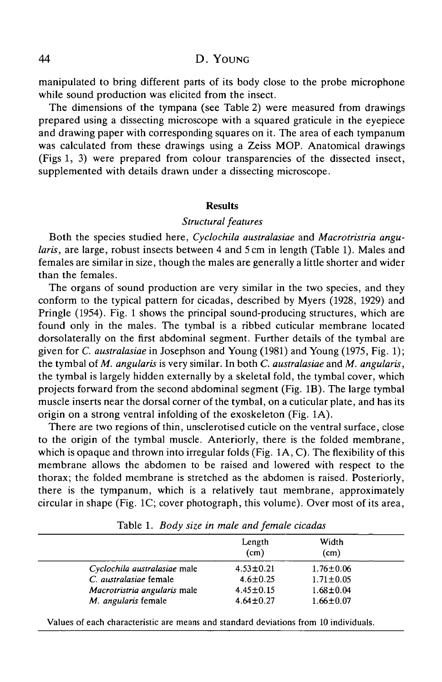manipulated to bring different parts of its body close to the probe microphone while sound production was elicited from the insect.

The dimensions of the tympana (see Table 2) were measured from drawings prepared using a dissecting microscope with a squared graticule in the eyepiece and drawing paper with corresponding squares on it. The area of each tympanum was calculated from these drawings using a Zeiss MOP. Anatomical drawings (Figs 1, 3) were prepared from colour transparencies of the dissected insect, supplemented with details drawn under a dissecting microscope.

#### **Results**

### *Structural features*

Both the species studied here, *Cyclochila australasiae* and *Macrotristria angularis,* are large, robust insects between 4 and 5 cm in length (Table 1). Males and females are similar in size, though the males are generally a little shorter and wider than the females.

The organs of sound production are very similar in the two species, and they conform to the typical pattern for cicadas, described by Myers (1928, 1929) and Pringle (1954). Fig. 1 shows the principal sound-producing structures, which are found only in the males. The tymbal is a ribbed cuticular membrane located dorsolaterally on the first abdominal segment. Further details of the tymbal are given for *C. australasiae* in Josephson and Young (1981) and Young (1975, Fig. 1); the tymbal of *M. angularis* is very similar. In both *C. australasiae* and *M. angularis,* the tymbal is largely hidden externally by a skeletal fold, the tymbal cover, which projects forward from the second abdominal segment (Fig. IB). The large tymbal muscle inserts near the dorsal corner of the tymbal, on a cuticular plate, and has its origin on a strong ventral infolding of the exoskeleton (Fig. 1A).

There are two regions of thin, unsclerotised cuticle on the ventral surface, close to the origin of the tymbal muscle. Anteriorly, there is the folded membrane, which is opaque and thrown into irregular folds (Fig. 1A, C). The flexibility of this membrane allows the abdomen to be raised and lowered with respect to the thorax; the folded membrane is stretched as the abdomen is raised. Posteriorly, there is the tympanum, which is a relatively taut membrane, approximately circular in shape (Fig. 1C; cover photograph, this volume). Over most of its area,

|                              | Length<br>(cm)  | Width<br>(cm)   |  |
|------------------------------|-----------------|-----------------|--|
| Cyclochila australasiae male | $4.53 \pm 0.21$ | $1.76 \pm 0.06$ |  |
| C. australasiae female       | $4.6 \pm 0.25$  | $1.71 \pm 0.05$ |  |
| Macrotristria angularis male | $4.45 \pm 0.15$ | $1.68 \pm 0.04$ |  |
| M. angularis female          | $4.64 \pm 0.27$ | $1.66 \pm 0.07$ |  |
|                              |                 |                 |  |

Table 1. *Body size in male and female cicadas*

Values of each characteristic are means and standard deviations from 10 individuals.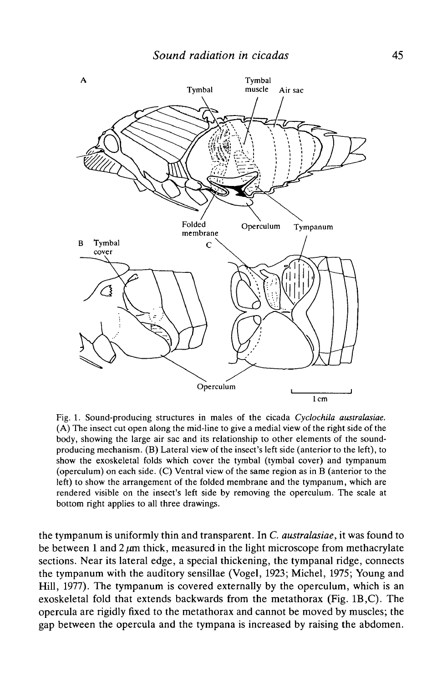

Fig. 1. Sound-producing structures in males of the cicada *Cyclochila australasiae.* (A) The insect cut open along the mid-line to give a medial view of the right side of the body, showing the large air sac and its relationship to other elements of the soundproducing mechanism. (B) Lateral view of the insect's left side (anterior to the left), to show the exoskeletal folds which cover the tymbal (tymbal cover) and tympanum (operculum) on each side. (C) Ventral view of the same region as in B (anterior to the left) to show the arrangement of the folded membrane and the tympanum, which are rendered visible on the insect's left side by removing the operculum. The scale at bottom right applies to all three drawings.

the tympanum is uniformly thin and transparent. In *C. australasiae,* it was found to be between 1 and  $2 \mu m$  thick, measured in the light microscope from methacrylate sections. Near its lateral edge, a special thickening, the tympanal ridge, connects the tympanum with the auditory sensillae (Vogel, 1923; Michel, 1975; Young and Hill, 1977). The tympanum is covered externally by the operculum, which is an exoskeletal fold that extends backwards from the metathorax (Fig. 1B,C). The opercula are rigidly fixed to the metathorax and cannot be moved by muscles; the gap between the opercula and the tympana is increased by raising the abdomen.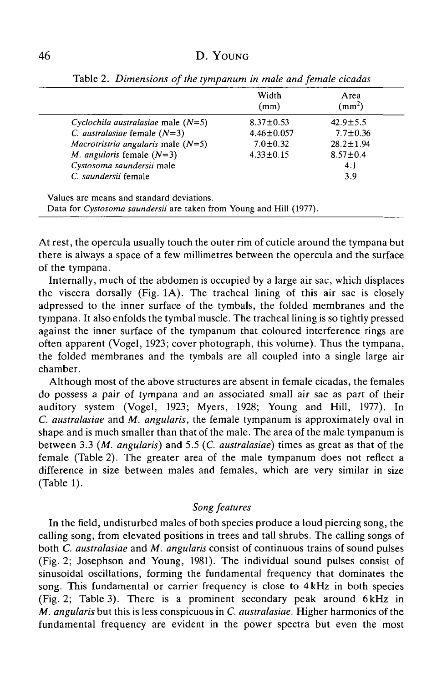|                                                                     | Width<br>(mm)    | Area<br>$\text{ (mm}^2\text{)}$ |
|---------------------------------------------------------------------|------------------|---------------------------------|
| Cyclochila australasiae male $(N=5)$                                | $8.37 \pm 0.53$  | $42.9 \pm 5.5$                  |
| C. australasiae female $(N=3)$                                      | $4.46 \pm 0.057$ | $7.7 \pm 0.36$                  |
| <i>Macrotristria angularis</i> male $(N=5)$                         | $7.0 \pm 0.32$   | $28.2 \pm 1.94$                 |
| <i>M. angularis</i> female $(N=3)$                                  | $4.33 \pm 0.15$  | $8.57 \pm 0.4$                  |
| Cystosoma saundersii male                                           |                  | 4.1                             |
| C. saundersii female                                                |                  | 3.9                             |
| Values are means and standard deviations.                           |                  |                                 |
| Data for Cystosoma saundersii are taken from Young and Hill (1977). |                  |                                 |

Table 2. *Dimensions of the tympanum in male and female cicadas*

At rest, the opercula usually touch the outer rim of cuticle around the tympana but there is always a space of a few millimetres between the opercula and the surface of the tympana.

Internally, much of the abdomen is occupied by a large air sac, which displaces the viscera dorsally (Fig. 1A). The tracheal lining of this air sac is closely adpressed to the inner surface of the tymbals, the folded membranes and the tympana. It also enfolds the tymbal muscle. The tracheal lining is so tightly pressed against the inner surface of the tympanum that coloured interference rings are often apparent (Vogel, 1923; cover photograph, this volume). Thus the tympana, the folded membranes and the tymbals are all coupled into a single large air chamber.

Although most of the above structures are absent in female cicadas, the females do possess a pair of tympana and an associated small air sac as part of their auditory system (Vogel, 1923; Myers, 1928; Young and Hill, 1977). In *C. australasiae* and *M. angularis,* the female tympanum is approximately oval in shape and is much smaller than that of the male. The area of the male tympanum is between 3.3 *(M. angularis)* and 5.5 (C. *australasiae)* times as great as that of the female (Table 2). The greater area of the male tympanum does not reflect a difference in size between males and females, which are very similar in size (Table 1).

# *Song features*

In the field, undisturbed males of both species produce a loud piercing song, the calling song, from elevated positions in trees and tall shrubs. The calling songs of both *C. australasiae* and *M. angularis* consist of continuous trains of sound pulses (Fig. 2; Josephson and Young, 1981). The individual sound pulses consist of sinusoidal oscillations, forming the fundamental frequency that dominates the song. This fundamental or carrier frequency is close to 4 kHz in both species (Fig. 2; Table 3). There is a prominent secondary peak around 6 kHz in *M. angularis* but this is less conspicuous in *C. australasiae.* Higher harmonics of the fundamental frequency are evident in the power spectra but even the most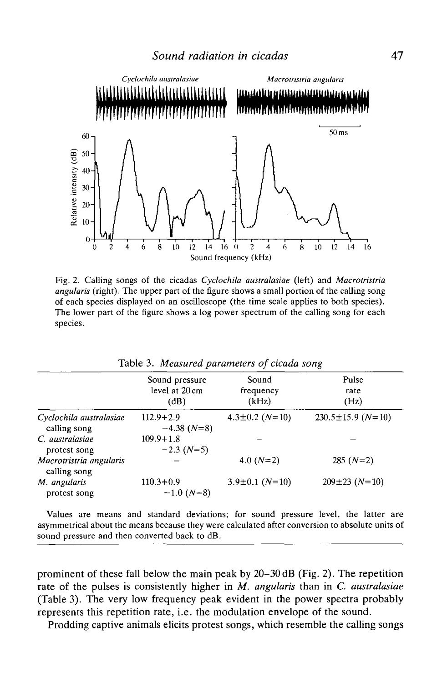

Fig. 2. Calling songs of the cicadas *Cycloehila australasiae* (left) and *Macrotristria angularis* (right). The upper part of the figure shows a small portion of the calling song of each species displayed on an oscUloscope (the time scale applies to both species). The lower part of the figure shows a log power spectrum of the calling song for each species.

|                                         | Sound pressure<br>level at 20 cm<br>(dB) | Sound<br>frequency<br>(kHz) | Pulse<br>rate<br>(Hz)   |
|-----------------------------------------|------------------------------------------|-----------------------------|-------------------------|
| Cyclochila australasiae<br>calling song | $112.9 + 2.9$<br>$-4.38(N=8)$            | $4.3 \pm 0.2$ (N=10)        | $230.5 \pm 15.9$ (N=10) |
| C. australasiae<br>protest song         | $109.9 + 1.8$<br>$-2.3$ (N=5)            |                             |                         |
| Macrotristria angularis<br>calling song |                                          | 4.0 $(N=2)$                 | $285(N=2)$              |
| M. angularis<br>protest song            | $110.3 + 0.9$<br>$-1.0$ (N=8)            | $3.9 \pm 0.1$ (N=10)        | $209 \pm 23$ (N=10)     |

Table 3. *Measured parameters of cicada song*

Values are means and standard deviations; for sound pressure level, the latter are asymmetrical about the means because they were calculated after conversion to absolute units of sound pressure and then converted back to dB.

prominent of these fall below the main peak by 20-30 dB (Fig. 2). The repetition rate of the pulses is consistently higher in *M. angularis* than in *C. australasiae* (Table 3). The very low frequency peak evident in the power spectra probably represents this repetition rate, i.e. the modulation envelope of the sound.

Prodding captive animals elicits protest songs, which resemble the calling songs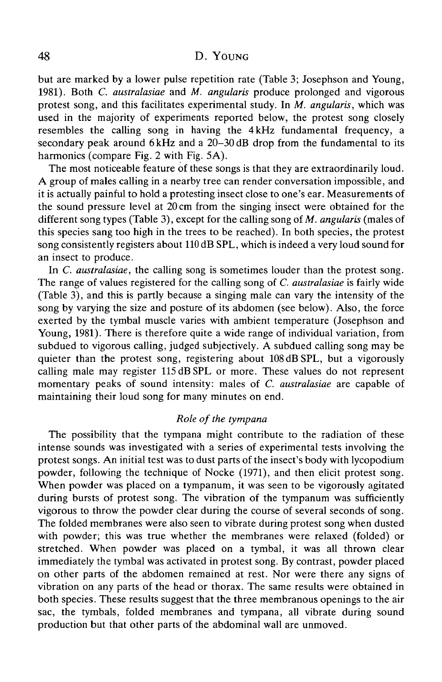but are marked by a lower pulse repetition rate (Table 3; Josephson and Young, 1981). Both *C. australasiae* and *M. angularis* produce prolonged and vigorous protest song, and this facilitates experimental study. In *M. angularis,* which was used in the majority of experiments reported below, the protest song closely resembles the calling song in having the 4 kHz fundamental frequency, a secondary peak around 6 kHz and a 20–30 dB drop from the fundamental to its harmonics (compare Fig. 2 with Fig. 5A).

The most noticeable feature of these songs is that they are extraordinarily loud. A group of males calling in a nearby tree can render conversation impossible, and it is actually painful to hold a protesting insect close to one's ear. Measurements of the sound pressure level at 20 cm from the singing insect were obtained for the different song types (Table 3), except for the calling song of *M. angularis* (males of this species sang too high in the trees to be reached). In both species, the protest song consistently registers about 110 dB SPL, which is indeed a very loud sound for an insect to produce.

In *C. australasiae,* the calling song is sometimes louder than the protest song. The range of values registered for the calling song of *C. australasiae* is fairly wide (Table 3), and this is partly because a singing male can vary the intensity of the song by varying the size and posture of its abdomen (see below). Also, the force exerted by the tymbal muscle varies with ambient temperature (Josephson and Young, 1981). There is therefore quite a wide range of individual variation, from subdued to vigorous calling, judged subjectively. A subdued calling song may be quieter than the protest song, registering about 108 dB SPL, but a vigorously calling male may register 115 dB SPL or more. These values do not represent momentary peaks of sound intensity: males of *C. australasiae* are capable of maintaining their loud song for many minutes on end.

## *Role of the tympana*

The possibility that the tympana might contribute to the radiation of these intense sounds was investigated with a series of experimental tests involving the protest songs. An initial test was to dust parts of the insect's body with lycopodium powder, following the technique of Nocke (1971), and then elicit protest song. When powder was placed on a tympanum, it was seen to be vigorously agitated during bursts of protest song. The vibration of the tympanum was sufficiently vigorous to throw the powder clear during the course of several seconds of song. The folded membranes were also seen to vibrate during protest song when dusted with powder; this was true whether the membranes were relaxed (folded) or stretched. When powder was placed on a tymbal, it was all thrown clear immediately the tymbal was activated in protest song. By contrast, powder placed on other parts of the abdomen remained at rest. Nor were there any signs of vibration on any parts of the head or thorax. The same results were obtained in both species. These results suggest that the three membranous openings to the air sac, the tymbals, folded membranes and tympana, all vibrate during sound production but that other parts of the abdominal wall are unmoved.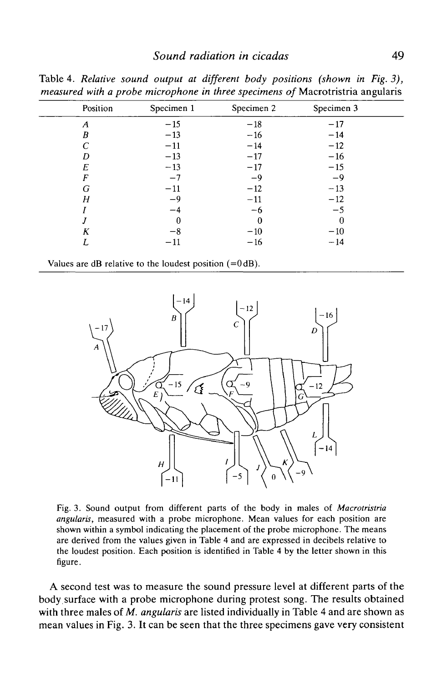|          |              | ж.         | ັ          |  |
|----------|--------------|------------|------------|--|
| Position | Specimen 1   | Specimen 2 | Specimen 3 |  |
| A        | $-15$        | $-18$      | $-17$      |  |
| B        | $-13$        | $-16$      | $-14$      |  |
|          | $-11$        | $-14$      | $-12$      |  |
| D        | $-13$        | $-17$      | $-16$      |  |
| E        | $-13$        | $-17$      | $-15$      |  |
| F        | $-7$         | $-9$       | $-9$       |  |
| G        | $-11$        | $-12$      | $-13$      |  |
| Η        | $-9$         | $-11$      | $-12$      |  |
|          | -4           | —ი         | $-5$       |  |
|          |              |            |            |  |
| Κ        | -8           | $-10$      | $-10$      |  |
|          | $^{\rm -11}$ | $-16$      | $-14$      |  |
|          |              |            |            |  |

Table 4. *Relative sound output at different body positions (shown in Fig. 3), measured with a probe microphone in three specimens of* Macrotristria angularis

Values are dB relative to the loudest position (=0dB).



Fig. 3. Sound output from different parts of the body in males of *Macrotristria angularis,* measured with a probe microphone. Mean values for each position are shown within a symbol indicating the placement of the probe microphone. The means are derived from the values given in Table 4 and are expressed in decibels relative to the loudest position. Each position is identified in Table 4 by the letter shown in this figure.

A second test was to measure the sound pressure level at different parts of the body.surface with a probe microphone during protest song. The results obtained with three males of *M. angularis* are listed individually in Table 4 and are shown as mean values in Fig. 3. It can be seen that the three specimens gave very consistent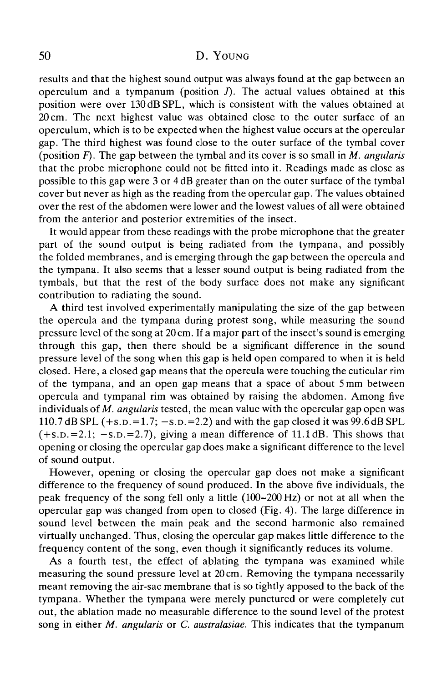results and that the highest sound output was always found at the gap between an operculum and a tympanum (position  $J$ ). The actual values obtained at this position were over 130dBSPL, which is consistent with the values obtained at 20 cm. The next highest value was obtained close to the outer surface of an operculum, which is to be expected when the highest value occurs at the opercular gap. The third highest was found close to the outer surface of the tymbal cover (position *F).* The gap between the tymbal and its cover is so small in *M. angularis* that the probe microphone could not be fitted into it. Readings made as close as possible to this gap were 3 or 4 dB greater than on the outer surface of the tymbal cover but never as high as the reading from the opercular gap. The values obtained over the rest of the abdomen were lower and the lowest values of all were obtained from the anterior and posterior extremities of the insect.

It would appear from these readings with the probe microphone that the greater part of the sound output is being radiated from the tympana, and possibly the folded membranes, and is emerging through the gap between the opercula and the tympana. It also seems that a lesser sound output is being radiated from the tymbals, but that the rest of the body surface does not make any significant contribution to radiating the sound.

A third test involved experimentally manipulating the size of the gap between the opercula and the tympana during protest song, while measuring the sound pressure level of the song at 20 cm. If a major part of the insect's sound is emerging through this gap, then there should be a significant difference in the sound pressure level of the song when this gap is held open compared to when it is held closed. Here, a closed gap means that the opercula were touching the cuticular rim of the tympana, and an open gap means that a space of about 5 mm between opercula and tympanal rim was obtained by raising the abdomen. Among five individuals of *M. angularis* tested, the mean value with the opercular gap open was 110.7 dB SPL  $(+s.p.=1.7; -s.p.=2.2)$  and with the gap closed it was 99.6 dB SPL  $(+s.p.=2.1; -s.p.=2.7)$ , giving a mean difference of 11.1 dB. This shows that opening or closing the opercular gap does make a significant difference to the level of sound output.

However, opening or closing the opercular gap does not make a significant difference to the frequency of sound produced. In the above five individuals, the peak frequency of the song fell only a little (100-200 Hz) or not at all when the opercular gap was changed from open to closed (Fig. 4). The large difference in sound level between the main peak and the second harmonic also remained virtually unchanged. Thus, closing the opercular gap makes little difference to the frequency content of the song, even though it significantly reduces its volume.

As a fourth test, the effect of ablating the tympana was examined while measuring the sound pressure level at 20 cm. Removing the tympana necessarily meant removing the air-sac membrane that is so tightly apposed to the back of the tympana. Whether the tympana were merely punctured or were completely cut out, the ablation made no measurable difference to the sound level of the protest song in either *M. angularis* or *C. australasiae.* This indicates that the tympanum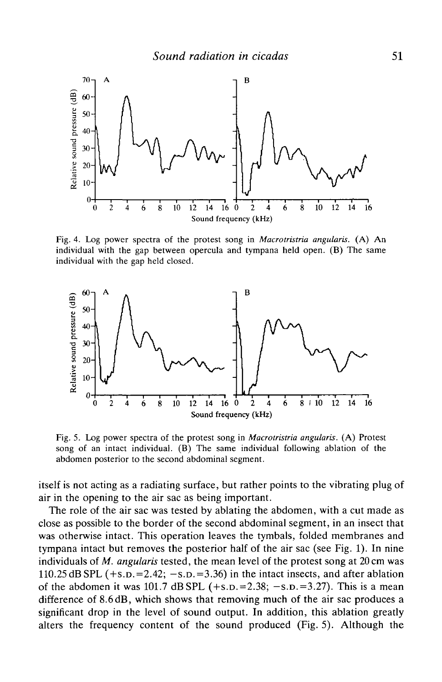

Fig. 4. Log power spectra of the protest song in *Macrotristria angularis.* (A) An individual with the gap between opercula and tympana held open. (B) The same individual with the gap held closed.



Fig. 5. Log power spectra of the protest song in *Macrotristria angularis.* (A) Protest song of an intact individual. (B) The same individual following ablation of the abdomen posterior to the second abdominal segment.

itself is not acting as a radiating surface, but rather points to the vibrating plug of air in the opening to the air sac as being important.

The role of the air sac was tested by ablating the abdomen, with a cut made as close as possible to the border of the second abdominal segment, in an insect that was otherwise intact. This operation leaves the tymbals, folded membranes and tympana intact but removes the posterior half of the air sac (see Fig. 1). In nine individuals of *M. angularis* tested, the mean level of the protest song at 20 cm was 110.25 dB SPL  $(+s.p.=2.42; -s.p.=3.36)$  in the intact insects, and after ablation of the abdomen it was 101.7 dB SPL  $(+s.p.=2.38; -s.p.=3.27)$ . This is a mean difference of 8.6dB, which shows that removing much of the air sac produces a significant drop in the level of sound output. In addition, this ablation greatly alters the frequency content of the sound produced (Fig. 5). Although the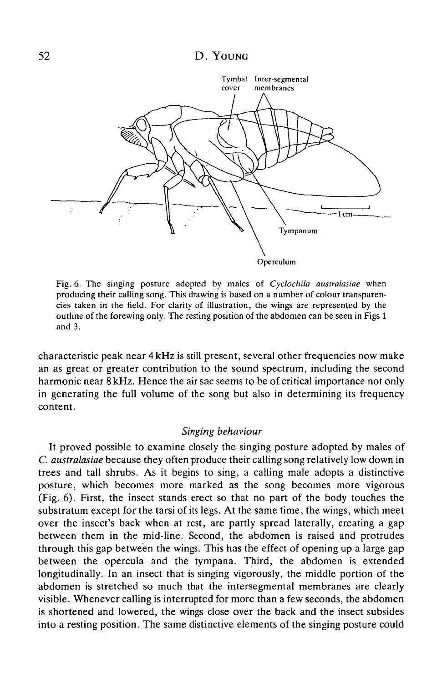

Fig. 6. The singing posture adopted by males of *Cyclochila australasiae* when producing their calling song. This drawing is based on a number of colour transparencies taken in the field. For clarity of illustration, the wings are represented by the outline of the forewing only. The resting position of the abdomen can be seen in Figs 1 and 3.

characteristic peak near 4 kHz is still present, several other frequencies now make an as great or greater contribution to the sound spectrum, including the second harmonic near 8 kHz. Hence the air sac seems to be of critical importance not only in generating the full volume of the song but also in determining its frequency content.

### *Singing behaviour*

It proved possible to examine closely the singing posture adopted by males of *C. australasiae* because they often produce their calling song relatively low down in trees and tall shrubs. As it begins to sing, a calling male adopts a distinctive posture, which becomes more marked as the song becomes more vigorous (Fig. 6). First, the insect stands erect so that no part of the body touches the substratum except for the tarsi of its legs. At the same time, the wings, which meet over the insect's back when at rest, are partly spread laterally, creating a gap between them in the mid-line. Second, the abdomen is raised and protrudes through this gap between the wings. This has the effect of opening up a large gap between the opercula and the tympana. Third, the abdomen is extended longitudinally. In an insect that is singing vigorously, the middle portion of the abdomen is stretched so much that the intersegmental membranes are clearly visible. Whenever calling is interrupted for more than a few seconds, the abdomen is shortened and lowered, the wings close over the back and the insect subsides into a resting position. The same distinctive elements of the singing posture could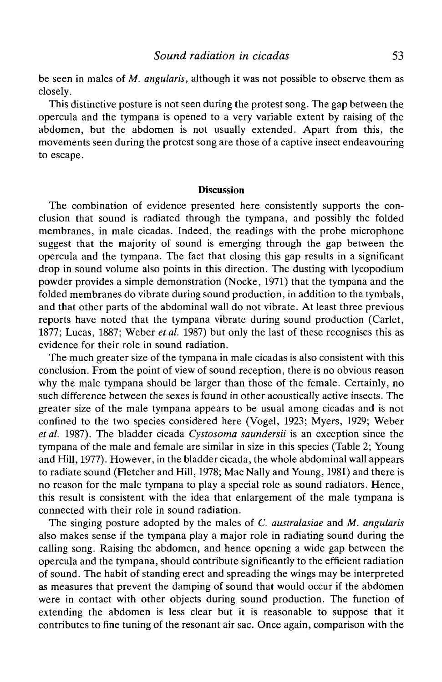be seen in males of *M. angularis,* although it was not possible to observe them as closely.

This distinctive posture is not seen during the protest song. The gap between the opercula and the tympana is opened to a very variable extent by raising of the abdomen, but the abdomen is not usually extended. Apart from this, the movements seen during the protest song are those of a captive insect endeavouring to escape.

### **Discussion**

The combination of evidence presented here consistently supports the conclusion that sound is radiated through the tympana, and possibly the folded membranes, in male cicadas. Indeed, the readings with the probe microphone suggest that the majority of sound is emerging through the gap between the opercula and the tympana. The fact that closing this gap results in a significant drop in sound volume also points in this direction. The dusting with lycopodium powder provides a simple demonstration (Nocke, 1971) that the tympana and the folded membranes do vibrate during sound production, in addition to the tymbals, and that other parts of the abdominal wall do not vibrate. At least three previous reports have noted that the tympana vibrate during sound production (Carlet, 1877; Lucas, 1887; Weber *etal.* 1987) but only the last of these recognises this as evidence for their role in sound radiation.

The much greater size of the tympana in male cicadas is also consistent with this conclusion. From the point of view of sound reception, there is no obvious reason why the male tympana should be larger than those of the female. Certainly, no such difference between the sexes is found in other acoustically active insects. The greater size of the male tympana appears to be usual among cicadas and is not confined to the two species considered here (Vogel, 1923; Myers, 1929; Weber *etal.* 1987). The bladder cicada *Cystosoma saundersii* is an exception since the tympana of the male and female are similar in size in this species (Table 2; Young and Hill, 1977). However, in the bladder cicada, the whole abdominal wall appears to radiate sound (Fletcher and Hill, 1978; Mac Nally and Young, 1981) and there is no reason for the male tympana to play a special role as sound radiators. Hence, this result is consistent with the idea that enlargement of the male tympana is connected with their role in sound radiation.

The singing posture adopted by the males of *C. australasiae* and *M. angularis* also makes sense if the tympana play a major role in radiating sound during the calling song. Raising the abdomen, and hence opening a wide gap between the opercula and the tympana, should contribute significantly to the efficient radiation of sound. The habit of standing erect and spreading the wings may be interpreted as measures that prevent the damping of sound that would occur if the abdomen were in contact with other objects during sound production. The function of extending the abdomen is less clear but it is reasonable to suppose that it contributes to fine tuning of the resonant air sac. Once again, comparison with the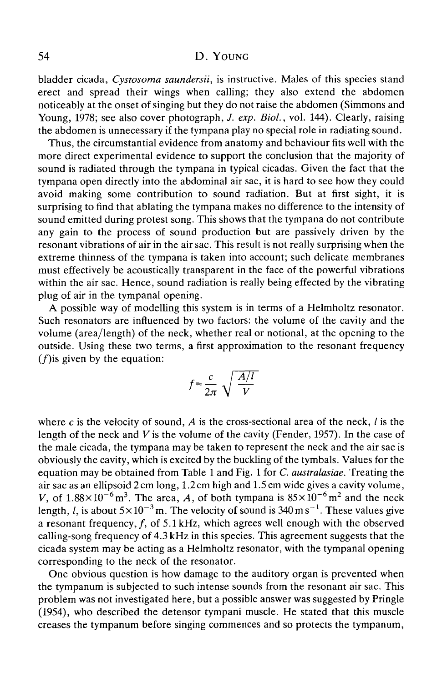bladder cicada, *Cystosoma saundersii,* is instructive. Males of this species stand erect and spread their wings when calling; they also extend the abdomen noticeably at the onset of singing but they do not raise the abdomen (Simmons and Young, 1978; see also cover photograph, *J. exp. Biol.*, vol. 144). Clearly, raising the abdomen is unnecessary if the tympana play no special role in radiating sound.

Thus, the circumstantial evidence from anatomy and behaviour fits well with the more direct experimental evidence to support the conclusion that the majority of sound is radiated through the tympana in typical cicadas. Given the fact that the tympana open directly into the abdominal air sac, it is hard to see how they could avoid making some contribution to sound radiation. But at first sight, it is surprising to find that ablating the tympana makes no difference to the intensity of sound emitted during protest song. This shows that the tympana do not contribute any gain to the process of sound production but are passively driven by the resonant vibrations of air in the air sac. This result is not really surprising when the extreme thinness of the tympana is taken into account; such delicate membranes must effectively be acoustically transparent in the face of the powerful vibrations within the air sac. Hence, sound radiation is really being effected by the vibrating plug of air in the tympanal opening.

A possible way of modelling this system is in terms of a Helmholtz resonator. Such resonators are influenced by two factors: the volume of the cavity and the volume (area/length) of the neck, whether real or notional, at the opening to the outside. Using these two terms, a first approximation to the resonant frequency  $(f)$  is given by the equation:

$$
f = \frac{c}{2\pi} \sqrt{\frac{A/l}{V}}
$$

where *c* is the velocity of sound, *A* is the cross-sectional area of the neck, / is the length of the neck and *V* is the volume of the cavity (Fender, 1957). In the case of the male cicada, the tympana may be taken to represent the neck and the air sac is obviously the cavity, which is excited by the buckling of the tymbals. Values for the equation may be obtained from Table 1 and Fig. 1 for *C. australasiae.* Treating the air sac as an ellipsoid 2 cm long, 1.2 cm high and 1.5 cm wide gives a cavity volume, V, of  $1.88 \times 10^{-6}$  m<sup>3</sup>. The area, A, of both tympana is  $85 \times 10^{-6}$  m<sup>2</sup> and the neck length, *l*, is about  $5 \times 10^{-3}$  m. The velocity of sound is 340 m s<sup>-1</sup>. These values give a resonant frequency,  $f$ , of 5.1 kHz, which agrees well enough with the observed calling-song frequency of 4.3 kHz in this species. This agreement suggests that the cicada system may be acting as a Helmholtz resonator, with the tympanal opening corresponding to the neck of the resonator.

One obvious question is how damage to the auditory organ is prevented when the tympanum is subjected to such intense sounds from the resonant air sac. This problem was not investigated here, but a possible answer was suggested by Pringle (1954), who described the detensor tympani muscle. He stated that this muscle creases the tympanum before singing commences and so protects the tympanum,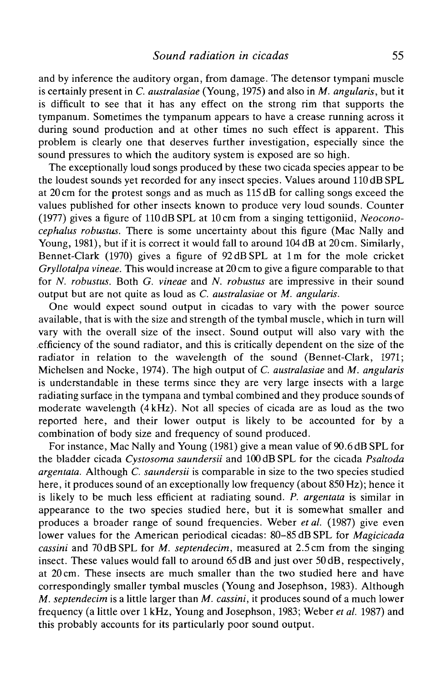and by inference the auditory organ, from damage. The detensor tympani muscle is certainly present in *C. australasiae* (Young, 1975) and also in *M. angularis,* but it is difficult to see that it has any effect on the strong rim that supports the tympanum. Sometimes the tympanum appears to have a crease running across it during sound production and at other times no such effect is apparent. This problem is clearly one that deserves further investigation, especially since the sound pressures to which the auditory system is exposed are so high.

The exceptionally loud songs produced by these two cicada species appear to be the loudest sounds yet recorded for any insect species. Values around 110 dB SPL at 20 cm for the protest songs and as much as 115 dB for calling songs exceed the values published for other insects known to produce very loud sounds. Counter (1977) gives a figure of 110 dB SPL at 10 cm from a singing tettigoniid, *Neoconocephalus robustus.* There is some uncertainty about this figure (Mac Nally and Young, 1981), but if it is correct it would fall to around 104 dB at 20 cm. Similarly, Bennet-Clark (1970) gives a figure of 92 dB SPL at 1 m for the mole cricket *Gryllotalpa vineae.* This would increase at 20 cm to give a figure comparable to that for *N. robustus.* Both *G. vineae* and *N. robustus* are impressive in their sound output but are not quite as loud as *C. australasiae* or *M. angularis.*

One would expect sound output in cicadas to vary with the power source available, that is with the size and strength of the tymbal muscle, which in turn will vary with the overall size of the insect. Sound output will also vary with the efficiency of the sound radiator, and this is critically dependent on the size of the radiator in relation to the wavelength of the sound (Bennet-Clark, 1971; Michelsen and Nocke, 1974). The high output of *C. australasiae* and *M. angularis* is understandable in these terms since they are very large insects with a large radiating surface in the tympana and tymbal combined and they produce sounds of moderate wavelength (4 kHz). Not all species of cicada are as loud as the two reported here, and their lower output is likely to be accounted for by a combination of body size and frequency of sound produced.

For instance, Mac Nally and Young (1981) give a mean value of 90.6 dB SPL for the bladder cicada *Cystosoma saundersii* and 100 dB SPL for the cicada *Psaltoda argentata.* Although *C. saundersii* is comparable in size to the two species studied here, it produces sound of an exceptionally low frequency (about 850Hz); hence it is likely to be much less efficient at radiating sound. *P. argentata* is similar in appearance to the two species studied here, but it is somewhat smaller and produces a broader range of sound frequencies. Weber *etal.* (1987) give even lower values for the American periodical cicadas: 80-85 dB SPL for *Magicicada cassini* and 70dBSPL for *M. septendecim,* measured at 2.5 cm from the singing insect. These values would fall to around 65 dB and just over 50dB, respectively, at 20 cm. These insects are much smaller than the two studied here and have correspondingly smaller tymbal muscles (Young and Josephson, 1983). Although *M. septendecim* is a little larger than *M. cassini,* it produces sound of a much lower frequency (a little over 1 kHz, Young and Josephson, 1983; Weber *et al.* 1987) and this probably accounts for its particularly poor sound output.